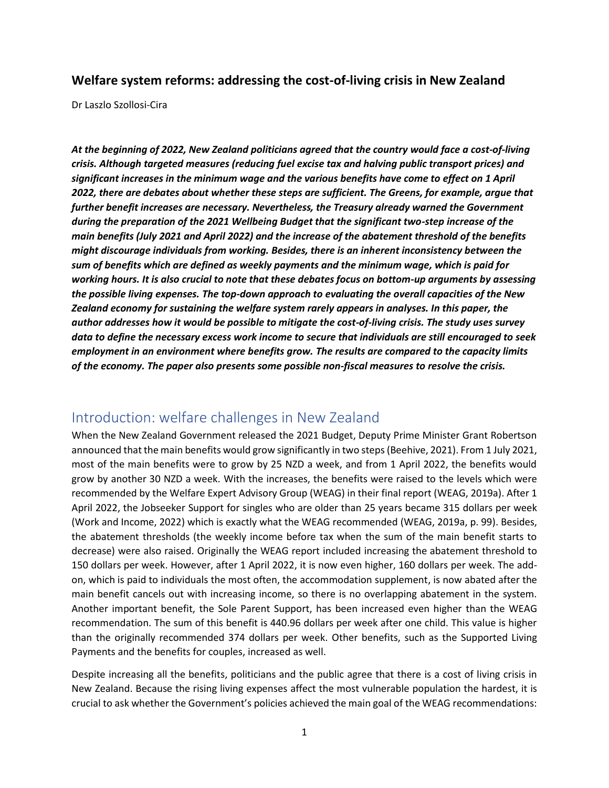#### **Welfare system reforms: addressing the cost-of-living crisis in New Zealand**

Dr Laszlo Szollosi-Cira

*At the beginning of 2022, New Zealand politicians agreed that the country would face a cost-of-living crisis. Although targeted measures (reducing fuel excise tax and halving public transport prices) and significant increases in the minimum wage and the various benefits have come to effect on 1 April 2022, there are debates about whether these steps are sufficient. The Greens, for example, argue that further benefit increases are necessary. Nevertheless, the Treasury already warned the Government during the preparation of the 2021 Wellbeing Budget that the significant two-step increase of the main benefits (July 2021 and April 2022) and the increase of the abatement threshold of the benefits might discourage individuals from working. Besides, there is an inherent inconsistency between the sum of benefits which are defined as weekly payments and the minimum wage, which is paid for working hours. It is also crucial to note that these debates focus on bottom-up arguments by assessing the possible living expenses. The top-down approach to evaluating the overall capacities of the New Zealand economy for sustaining the welfare system rarely appears in analyses. In this paper, the author addresses how it would be possible to mitigate the cost-of-living crisis. The study uses survey data to define the necessary excess work income to secure that individuals are still encouraged to seek employment in an environment where benefits grow. The results are compared to the capacity limits of the economy. The paper also presents some possible non-fiscal measures to resolve the crisis.*

### Introduction: welfare challenges in New Zealand

When the New Zealand Government released the 2021 Budget, Deputy Prime Minister Grant Robertson announced that the main benefits would grow significantly in two steps(Beehive, 2021). From 1 July 2021, most of the main benefits were to grow by 25 NZD a week, and from 1 April 2022, the benefits would grow by another 30 NZD a week. With the increases, the benefits were raised to the levels which were recommended by the Welfare Expert Advisory Group (WEAG) in their final report (WEAG, 2019a). After 1 April 2022, the Jobseeker Support for singles who are older than 25 years became 315 dollars per week (Work and Income, 2022) which is exactly what the WEAG recommended (WEAG, 2019a, p. 99). Besides, the abatement thresholds (the weekly income before tax when the sum of the main benefit starts to decrease) were also raised. Originally the WEAG report included increasing the abatement threshold to 150 dollars per week. However, after 1 April 2022, it is now even higher, 160 dollars per week. The addon, which is paid to individuals the most often, the accommodation supplement, is now abated after the main benefit cancels out with increasing income, so there is no overlapping abatement in the system. Another important benefit, the Sole Parent Support, has been increased even higher than the WEAG recommendation. The sum of this benefit is 440.96 dollars per week after one child. This value is higher than the originally recommended 374 dollars per week. Other benefits, such as the Supported Living Payments and the benefits for couples, increased as well.

Despite increasing all the benefits, politicians and the public agree that there is a cost of living crisis in New Zealand. Because the rising living expenses affect the most vulnerable population the hardest, it is crucial to ask whether the Government's policies achieved the main goal of the WEAG recommendations: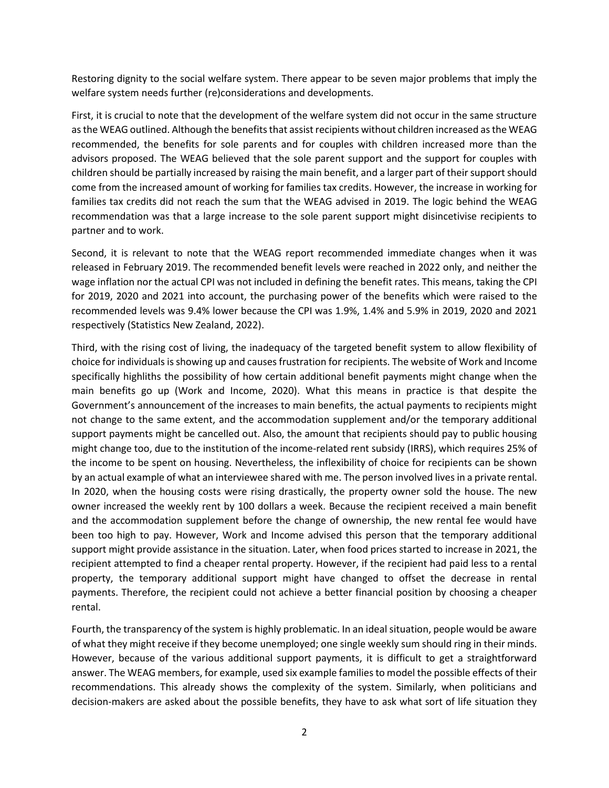Restoring dignity to the social welfare system. There appear to be seven major problems that imply the welfare system needs further (re)considerations and developments.

First, it is crucial to note that the development of the welfare system did not occur in the same structure as the WEAG outlined. Although the benefits that assist recipients without children increased as the WEAG recommended, the benefits for sole parents and for couples with children increased more than the advisors proposed. The WEAG believed that the sole parent support and the support for couples with children should be partially increased by raising the main benefit, and a larger part of their support should come from the increased amount of working for families tax credits. However, the increase in working for families tax credits did not reach the sum that the WEAG advised in 2019. The logic behind the WEAG recommendation was that a large increase to the sole parent support might disincetivise recipients to partner and to work.

Second, it is relevant to note that the WEAG report recommended immediate changes when it was released in February 2019. The recommended benefit levels were reached in 2022 only, and neither the wage inflation nor the actual CPI was not included in defining the benefit rates. This means, taking the CPI for 2019, 2020 and 2021 into account, the purchasing power of the benefits which were raised to the recommended levels was 9.4% lower because the CPI was 1.9%, 1.4% and 5.9% in 2019, 2020 and 2021 respectively (Statistics New Zealand, 2022).

Third, with the rising cost of living, the inadequacy of the targeted benefit system to allow flexibility of choice for individuals is showing up and causes frustration for recipients. The website of Work and Income specifically highliths the possibility of how certain additional benefit payments might change when the main benefits go up (Work and Income, 2020). What this means in practice is that despite the Government's announcement of the increases to main benefits, the actual payments to recipients might not change to the same extent, and the accommodation supplement and/or the temporary additional support payments might be cancelled out. Also, the amount that recipients should pay to public housing might change too, due to the institution of the income-related rent subsidy (IRRS), which requires 25% of the income to be spent on housing. Nevertheless, the inflexibility of choice for recipients can be shown by an actual example of what an interviewee shared with me. The person involved lives in a private rental. In 2020, when the housing costs were rising drastically, the property owner sold the house. The new owner increased the weekly rent by 100 dollars a week. Because the recipient received a main benefit and the accommodation supplement before the change of ownership, the new rental fee would have been too high to pay. However, Work and Income advised this person that the temporary additional support might provide assistance in the situation. Later, when food prices started to increase in 2021, the recipient attempted to find a cheaper rental property. However, if the recipient had paid less to a rental property, the temporary additional support might have changed to offset the decrease in rental payments. Therefore, the recipient could not achieve a better financial position by choosing a cheaper rental.

Fourth, the transparency of the system is highly problematic. In an ideal situation, people would be aware of what they might receive if they become unemployed; one single weekly sum should ring in their minds. However, because of the various additional support payments, it is difficult to get a straightforward answer. The WEAG members, for example, used six example families to model the possible effects of their recommendations. This already shows the complexity of the system. Similarly, when politicians and decision-makers are asked about the possible benefits, they have to ask what sort of life situation they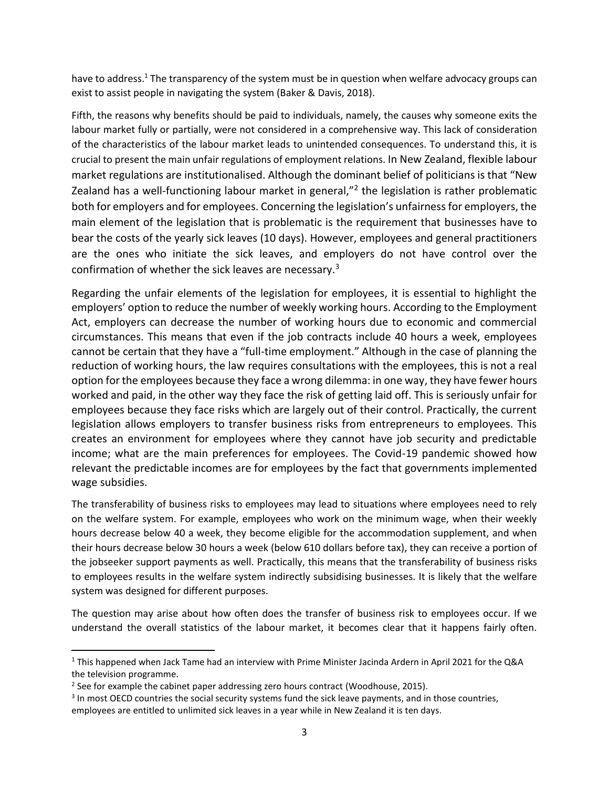have to address.<sup>1</sup> The transparency of the system must be in question when welfare advocacy groups can exist to assist people in navigating the system (Baker & Davis, 2018).

Fifth, the reasons why benefits should be paid to individuals, namely, the causes why someone exits the labour market fully or partially, were not considered in a comprehensive way. This lack of consideration of the characteristics of the labour market leads to unintended consequences. To understand this, it is crucial to present the main unfair regulations of employment relations. In New Zealand, flexible labour market regulations are institutionalised. Although the dominant belief of politicians is that "New Zealand has a well-functioning labour market in general,"<sup>2</sup> the legislation is rather problematic both for employers and for employees. Concerning the legislation's unfairness for employers, the main element of the legislation that is problematic is the requirement that businesses have to bear the costs of the yearly sick leaves (10 days). However, employees and general practitioners are the ones who initiate the sick leaves, and employers do not have control over the confirmation of whether the sick leaves are necessary.<sup>3</sup>

Regarding the unfair elements of the legislation for employees, it is essential to highlight the employers' option to reduce the number of weekly working hours. According to the Employment Act, employers can decrease the number of working hours due to economic and commercial circumstances. This means that even if the job contracts include 40 hours a week, employees cannot be certain that they have a "full-time employment." Although in the case of planning the reduction of working hours, the law requires consultations with the employees, this is not a real option for the employees because they face a wrong dilemma: in one way, they have fewer hours worked and paid, in the other way they face the risk of getting laid off. This is seriously unfair for employees because they face risks which are largely out of their control. Practically, the current legislation allows employers to transfer business risks from entrepreneurs to employees. This creates an environment for employees where they cannot have job security and predictable income; what are the main preferences for employees. The Covid-19 pandemic showed how relevant the predictable incomes are for employees by the fact that governments implemented wage subsidies.

The transferability of business risks to employees may lead to situations where employees need to rely on the welfare system. For example, employees who work on the minimum wage, when their weekly hours decrease below 40 a week, they become eligible for the accommodation supplement, and when their hours decrease below 30 hours a week (below 610 dollars before tax), they can receive a portion of the jobseeker support payments as well. Practically, this means that the transferability of business risks to employees results in the welfare system indirectly subsidising businesses. It is likely that the welfare system was designed for different purposes.

The question may arise about how often does the transfer of business risk to employees occur. If we understand the overall statistics of the labour market, it becomes clear that it happens fairly often.

 $1$  This happened when Jack Tame had an interview with Prime Minister Jacinda Ardern in April 2021 for the Q&A the television programme.

 $2$  See for example the cabinet paper addressing zero hours contract (Woodhouse, 2015).

<sup>&</sup>lt;sup>3</sup> In most OECD countries the social security systems fund the sick leave payments, and in those countries, employees are entitled to unlimited sick leaves in a year while in New Zealand it is ten days.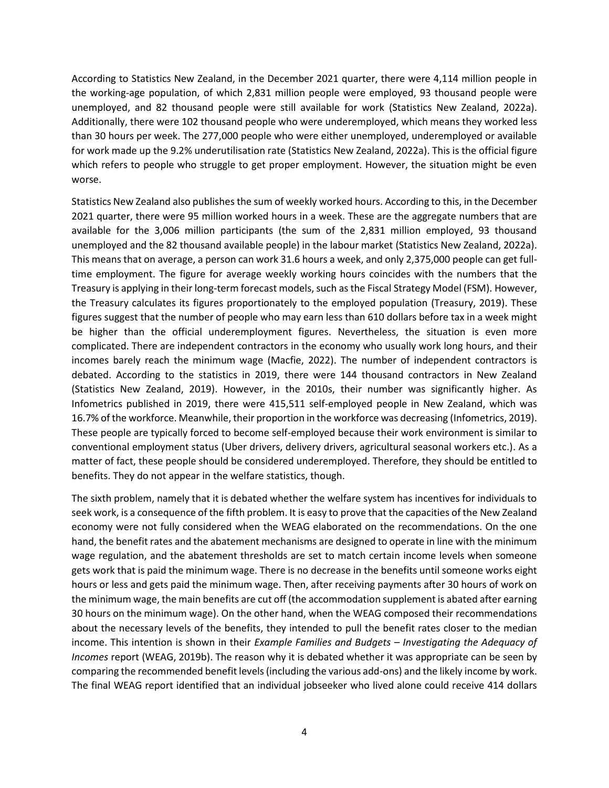According to Statistics New Zealand, in the December 2021 quarter, there were 4,114 million people in the working-age population, of which 2,831 million people were employed, 93 thousand people were unemployed, and 82 thousand people were still available for work (Statistics New Zealand, 2022a). Additionally, there were 102 thousand people who were underemployed, which means they worked less than 30 hours per week. The 277,000 people who were either unemployed, underemployed or available for work made up the 9.2% underutilisation rate (Statistics New Zealand, 2022a). This is the official figure which refers to people who struggle to get proper employment. However, the situation might be even worse.

Statistics New Zealand also publishes the sum of weekly worked hours. According to this, in the December 2021 quarter, there were 95 million worked hours in a week. These are the aggregate numbers that are available for the 3,006 million participants (the sum of the 2,831 million employed, 93 thousand unemployed and the 82 thousand available people) in the labour market (Statistics New Zealand, 2022a). This means that on average, a person can work 31.6 hours a week, and only 2,375,000 people can get fulltime employment. The figure for average weekly working hours coincides with the numbers that the Treasury is applying in their long-term forecast models, such as the Fiscal Strategy Model (FSM). However, the Treasury calculates its figures proportionately to the employed population (Treasury, 2019). These figures suggest that the number of people who may earn less than 610 dollars before tax in a week might be higher than the official underemployment figures. Nevertheless, the situation is even more complicated. There are independent contractors in the economy who usually work long hours, and their incomes barely reach the minimum wage (Macfie, 2022). The number of independent contractors is debated. According to the statistics in 2019, there were 144 thousand contractors in New Zealand (Statistics New Zealand, 2019). However, in the 2010s, their number was significantly higher. As Infometrics published in 2019, there were 415,511 self-employed people in New Zealand, which was 16.7% of the workforce. Meanwhile, their proportion in the workforce was decreasing (Infometrics, 2019). These people are typically forced to become self-employed because their work environment is similar to conventional employment status (Uber drivers, delivery drivers, agricultural seasonal workers etc.). As a matter of fact, these people should be considered underemployed. Therefore, they should be entitled to benefits. They do not appear in the welfare statistics, though.

The sixth problem, namely that it is debated whether the welfare system has incentives for individuals to seek work, is a consequence of the fifth problem. It is easy to prove that the capacities of the New Zealand economy were not fully considered when the WEAG elaborated on the recommendations. On the one hand, the benefit rates and the abatement mechanisms are designed to operate in line with the minimum wage regulation, and the abatement thresholds are set to match certain income levels when someone gets work that is paid the minimum wage. There is no decrease in the benefits until someone works eight hours or less and gets paid the minimum wage. Then, after receiving payments after 30 hours of work on the minimum wage, the main benefits are cut off (the accommodation supplement is abated after earning 30 hours on the minimum wage). On the other hand, when the WEAG composed their recommendations about the necessary levels of the benefits, they intended to pull the benefit rates closer to the median income. This intention is shown in their *Example Families and Budgets – Investigating the Adequacy of Incomes* report (WEAG, 2019b). The reason why it is debated whether it was appropriate can be seen by comparing the recommended benefit levels (including the various add-ons) and the likely income by work. The final WEAG report identified that an individual jobseeker who lived alone could receive 414 dollars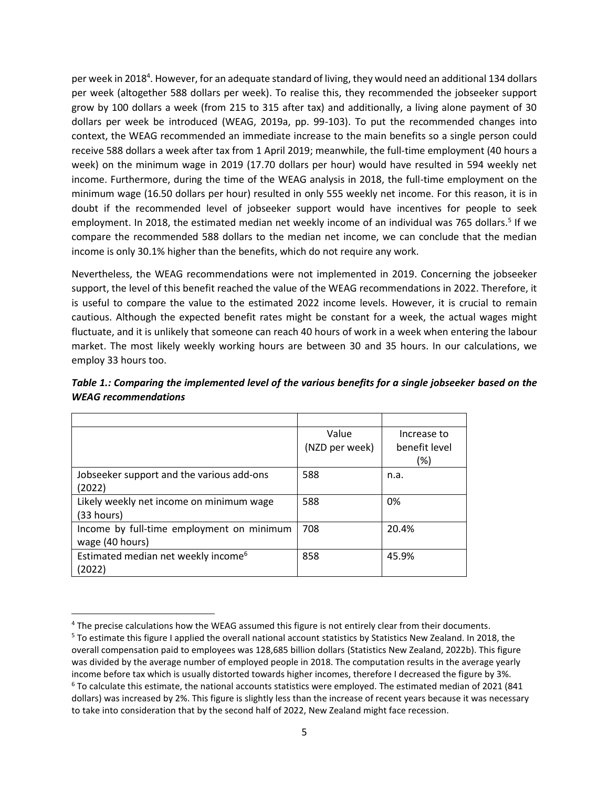per week in 2018<sup>4</sup>. However, for an adequate standard of living, they would need an additional 134 dollars per week (altogether 588 dollars per week). To realise this, they recommended the jobseeker support grow by 100 dollars a week (from 215 to 315 after tax) and additionally, a living alone payment of 30 dollars per week be introduced (WEAG, 2019a, pp. 99-103). To put the recommended changes into context, the WEAG recommended an immediate increase to the main benefits so a single person could receive 588 dollars a week after tax from 1 April 2019; meanwhile, the full-time employment (40 hours a week) on the minimum wage in 2019 (17.70 dollars per hour) would have resulted in 594 weekly net income. Furthermore, during the time of the WEAG analysis in 2018, the full-time employment on the minimum wage (16.50 dollars per hour) resulted in only 555 weekly net income. For this reason, it is in doubt if the recommended level of jobseeker support would have incentives for people to seek employment. In 2018, the estimated median net weekly income of an individual was 765 dollars.<sup>5</sup> If we compare the recommended 588 dollars to the median net income, we can conclude that the median income is only 30.1% higher than the benefits, which do not require any work.

Nevertheless, the WEAG recommendations were not implemented in 2019. Concerning the jobseeker support, the level of this benefit reached the value of the WEAG recommendations in 2022. Therefore, it is useful to compare the value to the estimated 2022 income levels. However, it is crucial to remain cautious. Although the expected benefit rates might be constant for a week, the actual wages might fluctuate, and it is unlikely that someone can reach 40 hours of work in a week when entering the labour market. The most likely weekly working hours are between 30 and 35 hours. In our calculations, we employ 33 hours too.

|                                                 | Value          | Increase to   |
|-------------------------------------------------|----------------|---------------|
|                                                 | (NZD per week) | benefit level |
|                                                 |                | (%)           |
| Jobseeker support and the various add-ons       | 588            | n.a.          |
| (2022)                                          |                |               |
| Likely weekly net income on minimum wage        | 588            | 0%            |
| (33 hours)                                      |                |               |
| Income by full-time employment on minimum       | 708            | 20.4%         |
| wage (40 hours)                                 |                |               |
| Estimated median net weekly income <sup>6</sup> | 858            | 45.9%         |
| (2022)                                          |                |               |

*Table 1.: Comparing the implemented level of the various benefits for a single jobseeker based on the WEAG recommendations*

<sup>4</sup> The precise calculations how the WEAG assumed this figure is not entirely clear from their documents.

<sup>5</sup> To estimate this figure I applied the overall national account statistics by Statistics New Zealand. In 2018, the overall compensation paid to employees was 128,685 billion dollars (Statistics New Zealand, 2022b). This figure was divided by the average number of employed people in 2018. The computation results in the average yearly income before tax which is usually distorted towards higher incomes, therefore I decreased the figure by 3%.  $6$  To calculate this estimate, the national accounts statistics were employed. The estimated median of 2021 (841 dollars) was increased by 2%. This figure is slightly less than the increase of recent years because it was necessary to take into consideration that by the second half of 2022, New Zealand might face recession.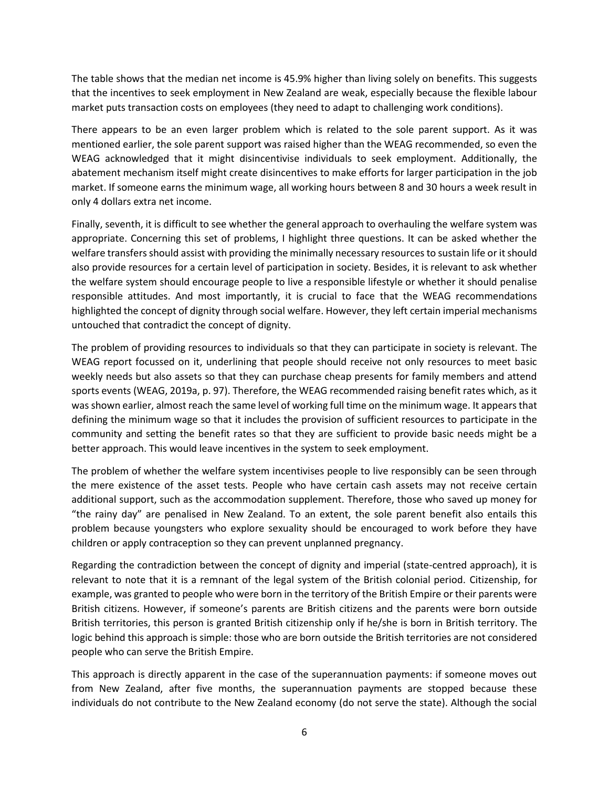The table shows that the median net income is 45.9% higher than living solely on benefits. This suggests that the incentives to seek employment in New Zealand are weak, especially because the flexible labour market puts transaction costs on employees (they need to adapt to challenging work conditions).

There appears to be an even larger problem which is related to the sole parent support. As it was mentioned earlier, the sole parent support was raised higher than the WEAG recommended, so even the WEAG acknowledged that it might disincentivise individuals to seek employment. Additionally, the abatement mechanism itself might create disincentives to make efforts for larger participation in the job market. If someone earns the minimum wage, all working hours between 8 and 30 hours a week result in only 4 dollars extra net income.

Finally, seventh, it is difficult to see whether the general approach to overhauling the welfare system was appropriate. Concerning this set of problems, I highlight three questions. It can be asked whether the welfare transfers should assist with providing the minimally necessary resources to sustain life or it should also provide resources for a certain level of participation in society. Besides, it is relevant to ask whether the welfare system should encourage people to live a responsible lifestyle or whether it should penalise responsible attitudes. And most importantly, it is crucial to face that the WEAG recommendations highlighted the concept of dignity through social welfare. However, they left certain imperial mechanisms untouched that contradict the concept of dignity.

The problem of providing resources to individuals so that they can participate in society is relevant. The WEAG report focussed on it, underlining that people should receive not only resources to meet basic weekly needs but also assets so that they can purchase cheap presents for family members and attend sports events (WEAG, 2019a, p. 97). Therefore, the WEAG recommended raising benefit rates which, as it was shown earlier, almost reach the same level of working full time on the minimum wage. It appears that defining the minimum wage so that it includes the provision of sufficient resources to participate in the community and setting the benefit rates so that they are sufficient to provide basic needs might be a better approach. This would leave incentives in the system to seek employment.

The problem of whether the welfare system incentivises people to live responsibly can be seen through the mere existence of the asset tests. People who have certain cash assets may not receive certain additional support, such as the accommodation supplement. Therefore, those who saved up money for "the rainy day" are penalised in New Zealand. To an extent, the sole parent benefit also entails this problem because youngsters who explore sexuality should be encouraged to work before they have children or apply contraception so they can prevent unplanned pregnancy.

Regarding the contradiction between the concept of dignity and imperial (state-centred approach), it is relevant to note that it is a remnant of the legal system of the British colonial period. Citizenship, for example, was granted to people who were born in the territory of the British Empire or their parents were British citizens. However, if someone's parents are British citizens and the parents were born outside British territories, this person is granted British citizenship only if he/she is born in British territory. The logic behind this approach is simple: those who are born outside the British territories are not considered people who can serve the British Empire.

This approach is directly apparent in the case of the superannuation payments: if someone moves out from New Zealand, after five months, the superannuation payments are stopped because these individuals do not contribute to the New Zealand economy (do not serve the state). Although the social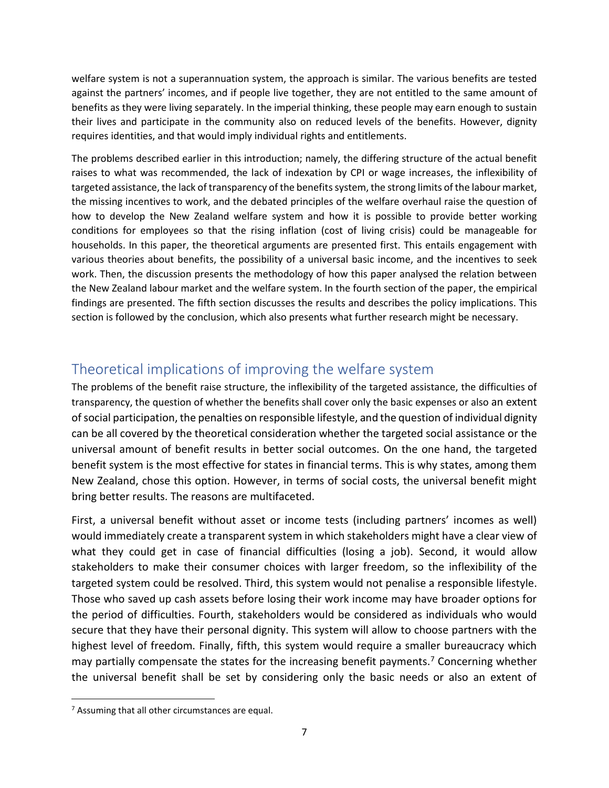welfare system is not a superannuation system, the approach is similar. The various benefits are tested against the partners' incomes, and if people live together, they are not entitled to the same amount of benefits as they were living separately. In the imperial thinking, these people may earn enough to sustain their lives and participate in the community also on reduced levels of the benefits. However, dignity requires identities, and that would imply individual rights and entitlements.

The problems described earlier in this introduction; namely, the differing structure of the actual benefit raises to what was recommended, the lack of indexation by CPI or wage increases, the inflexibility of targeted assistance, the lack of transparency of the benefits system, the strong limits of the labour market, the missing incentives to work, and the debated principles of the welfare overhaul raise the question of how to develop the New Zealand welfare system and how it is possible to provide better working conditions for employees so that the rising inflation (cost of living crisis) could be manageable for households. In this paper, the theoretical arguments are presented first. This entails engagement with various theories about benefits, the possibility of a universal basic income, and the incentives to seek work. Then, the discussion presents the methodology of how this paper analysed the relation between the New Zealand labour market and the welfare system. In the fourth section of the paper, the empirical findings are presented. The fifth section discusses the results and describes the policy implications. This section is followed by the conclusion, which also presents what further research might be necessary.

# Theoretical implications of improving the welfare system

The problems of the benefit raise structure, the inflexibility of the targeted assistance, the difficulties of transparency, the question of whether the benefits shall cover only the basic expenses or also an extent of social participation, the penalties on responsible lifestyle, and the question of individual dignity can be all covered by the theoretical consideration whether the targeted social assistance or the universal amount of benefit results in better social outcomes. On the one hand, the targeted benefit system is the most effective for states in financial terms. This is why states, among them New Zealand, chose this option. However, in terms of social costs, the universal benefit might bring better results. The reasons are multifaceted.

First, a universal benefit without asset or income tests (including partners' incomes as well) would immediately create a transparent system in which stakeholders might have a clear view of what they could get in case of financial difficulties (losing a job). Second, it would allow stakeholders to make their consumer choices with larger freedom, so the inflexibility of the targeted system could be resolved. Third, this system would not penalise a responsible lifestyle. Those who saved up cash assets before losing their work income may have broader options for the period of difficulties. Fourth, stakeholders would be considered as individuals who would secure that they have their personal dignity. This system will allow to choose partners with the highest level of freedom. Finally, fifth, this system would require a smaller bureaucracy which may partially compensate the states for the increasing benefit payments.<sup>7</sup> Concerning whether the universal benefit shall be set by considering only the basic needs or also an extent of

 $7$  Assuming that all other circumstances are equal.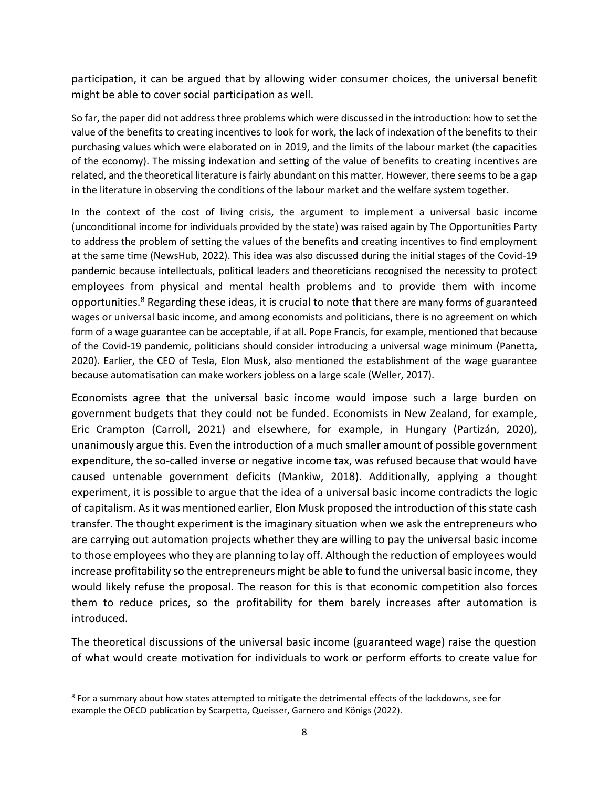participation, it can be argued that by allowing wider consumer choices, the universal benefit might be able to cover social participation as well.

So far, the paper did not address three problems which were discussed in the introduction: how to set the value of the benefits to creating incentives to look for work, the lack of indexation of the benefits to their purchasing values which were elaborated on in 2019, and the limits of the labour market (the capacities of the economy). The missing indexation and setting of the value of benefits to creating incentives are related, and the theoretical literature is fairly abundant on this matter. However, there seems to be a gap in the literature in observing the conditions of the labour market and the welfare system together.

In the context of the cost of living crisis, the argument to implement a universal basic income (unconditional income for individuals provided by the state) was raised again by The Opportunities Party to address the problem of setting the values of the benefits and creating incentives to find employment at the same time (NewsHub, 2022). This idea was also discussed during the initial stages of the Covid-19 pandemic because intellectuals, political leaders and theoreticians recognised the necessity to protect employees from physical and mental health problems and to provide them with income opportunities.<sup>8</sup> Regarding these ideas, it is crucial to note that there are many forms of guaranteed wages or universal basic income, and among economists and politicians, there is no agreement on which form of a wage guarantee can be acceptable, if at all. Pope Francis, for example, mentioned that because of the Covid-19 pandemic, politicians should consider introducing a universal wage minimum (Panetta, 2020). Earlier, the CEO of Tesla, Elon Musk, also mentioned the establishment of the wage guarantee because automatisation can make workers jobless on a large scale (Weller, 2017).

Economists agree that the universal basic income would impose such a large burden on government budgets that they could not be funded. Economists in New Zealand, for example, Eric Crampton (Carroll, 2021) and elsewhere, for example, in Hungary (Partizán, 2020), unanimously argue this. Even the introduction of a much smaller amount of possible government expenditure, the so-called inverse or negative income tax, was refused because that would have caused untenable government deficits (Mankiw, 2018). Additionally, applying a thought experiment, it is possible to argue that the idea of a universal basic income contradicts the logic of capitalism. As it was mentioned earlier, Elon Musk proposed the introduction of this state cash transfer. The thought experiment is the imaginary situation when we ask the entrepreneurs who are carrying out automation projects whether they are willing to pay the universal basic income to those employees who they are planning to lay off. Although the reduction of employees would increase profitability so the entrepreneurs might be able to fund the universal basic income, they would likely refuse the proposal. The reason for this is that economic competition also forces them to reduce prices, so the profitability for them barely increases after automation is introduced.

The theoretical discussions of the universal basic income (guaranteed wage) raise the question of what would create motivation for individuals to work or perform efforts to create value for

 $8$  For a summary about how states attempted to mitigate the detrimental effects of the lockdowns, see for example the OECD publication by Scarpetta, Queisser, Garnero and Königs (2022).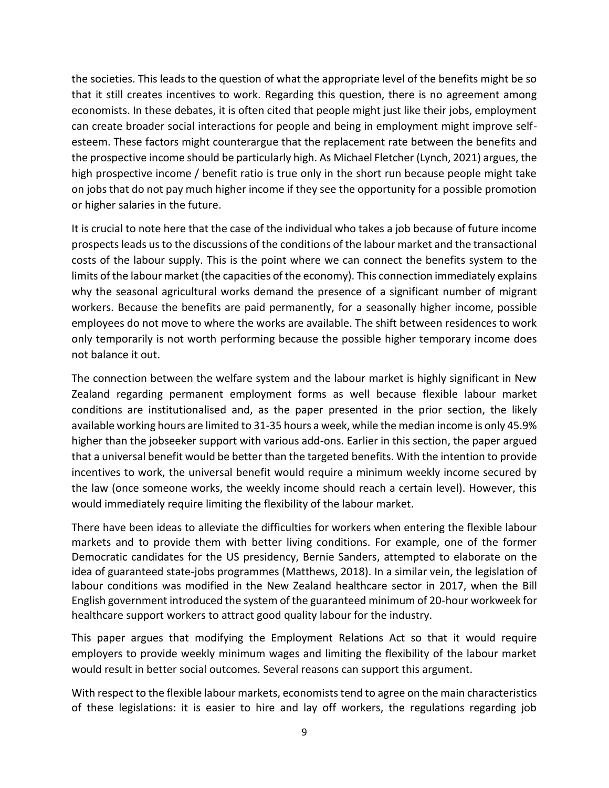the societies. This leads to the question of what the appropriate level of the benefits might be so that it still creates incentives to work. Regarding this question, there is no agreement among economists. In these debates, it is often cited that people might just like their jobs, employment can create broader social interactions for people and being in employment might improve selfesteem. These factors might counterargue that the replacement rate between the benefits and the prospective income should be particularly high. As Michael Fletcher (Lynch, 2021) argues, the high prospective income / benefit ratio is true only in the short run because people might take on jobs that do not pay much higher income if they see the opportunity for a possible promotion or higher salaries in the future.

It is crucial to note here that the case of the individual who takes a job because of future income prospects leads us to the discussions of the conditions of the labour market and the transactional costs of the labour supply. This is the point where we can connect the benefits system to the limits of the labour market (the capacities of the economy). This connection immediately explains why the seasonal agricultural works demand the presence of a significant number of migrant workers. Because the benefits are paid permanently, for a seasonally higher income, possible employees do not move to where the works are available. The shift between residences to work only temporarily is not worth performing because the possible higher temporary income does not balance it out.

The connection between the welfare system and the labour market is highly significant in New Zealand regarding permanent employment forms as well because flexible labour market conditions are institutionalised and, as the paper presented in the prior section, the likely available working hours are limited to 31-35 hours a week, while the median income is only 45.9% higher than the jobseeker support with various add-ons. Earlier in this section, the paper argued that a universal benefit would be better than the targeted benefits. With the intention to provide incentives to work, the universal benefit would require a minimum weekly income secured by the law (once someone works, the weekly income should reach a certain level). However, this would immediately require limiting the flexibility of the labour market.

There have been ideas to alleviate the difficulties for workers when entering the flexible labour markets and to provide them with better living conditions. For example, one of the former Democratic candidates for the US presidency, Bernie Sanders, attempted to elaborate on the idea of guaranteed state-jobs programmes (Matthews, 2018). In a similar vein, the legislation of labour conditions was modified in the New Zealand healthcare sector in 2017, when the Bill English government introduced the system of the guaranteed minimum of 20-hour workweek for healthcare support workers to attract good quality labour for the industry.

This paper argues that modifying the Employment Relations Act so that it would require employers to provide weekly minimum wages and limiting the flexibility of the labour market would result in better social outcomes. Several reasons can support this argument.

With respect to the flexible labour markets, economists tend to agree on the main characteristics of these legislations: it is easier to hire and lay off workers, the regulations regarding job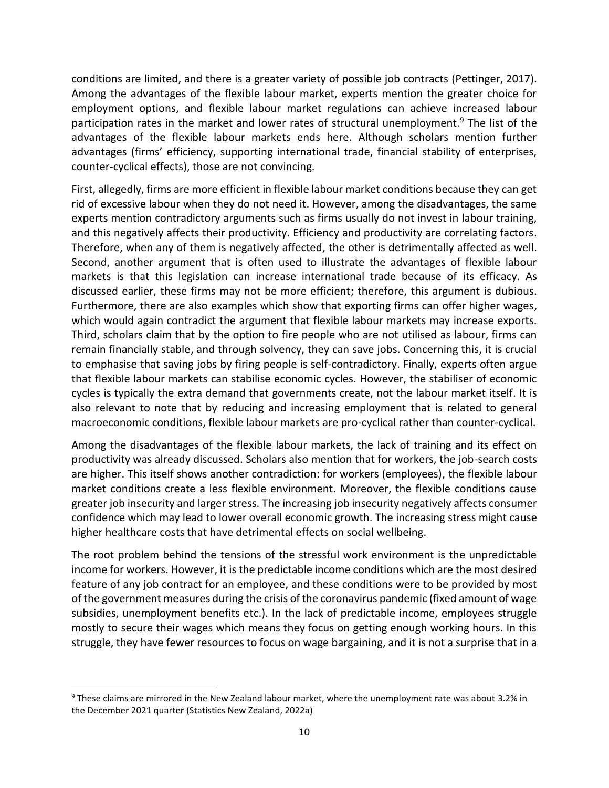conditions are limited, and there is a greater variety of possible job contracts (Pettinger, 2017). Among the advantages of the flexible labour market, experts mention the greater choice for employment options, and flexible labour market regulations can achieve increased labour participation rates in the market and lower rates of structural unemployment.<sup>9</sup> The list of the advantages of the flexible labour markets ends here. Although scholars mention further advantages (firms' efficiency, supporting international trade, financial stability of enterprises, counter-cyclical effects), those are not convincing.

First, allegedly, firms are more efficient in flexible labour market conditions because they can get rid of excessive labour when they do not need it. However, among the disadvantages, the same experts mention contradictory arguments such as firms usually do not invest in labour training, and this negatively affects their productivity. Efficiency and productivity are correlating factors. Therefore, when any of them is negatively affected, the other is detrimentally affected as well. Second, another argument that is often used to illustrate the advantages of flexible labour markets is that this legislation can increase international trade because of its efficacy. As discussed earlier, these firms may not be more efficient; therefore, this argument is dubious. Furthermore, there are also examples which show that exporting firms can offer higher wages, which would again contradict the argument that flexible labour markets may increase exports. Third, scholars claim that by the option to fire people who are not utilised as labour, firms can remain financially stable, and through solvency, they can save jobs. Concerning this, it is crucial to emphasise that saving jobs by firing people is self-contradictory. Finally, experts often argue that flexible labour markets can stabilise economic cycles. However, the stabiliser of economic cycles is typically the extra demand that governments create, not the labour market itself. It is also relevant to note that by reducing and increasing employment that is related to general macroeconomic conditions, flexible labour markets are pro-cyclical rather than counter-cyclical.

Among the disadvantages of the flexible labour markets, the lack of training and its effect on productivity was already discussed. Scholars also mention that for workers, the job-search costs are higher. This itself shows another contradiction: for workers (employees), the flexible labour market conditions create a less flexible environment. Moreover, the flexible conditions cause greater job insecurity and larger stress. The increasing job insecurity negatively affects consumer confidence which may lead to lower overall economic growth. The increasing stress might cause higher healthcare costs that have detrimental effects on social wellbeing.

The root problem behind the tensions of the stressful work environment is the unpredictable income for workers. However, it is the predictable income conditions which are the most desired feature of any job contract for an employee, and these conditions were to be provided by most of the government measures during the crisis of the coronavirus pandemic (fixed amount of wage subsidies, unemployment benefits etc.). In the lack of predictable income, employees struggle mostly to secure their wages which means they focus on getting enough working hours. In this struggle, they have fewer resources to focus on wage bargaining, and it is not a surprise that in a

<sup>9</sup> These claims are mirrored in the New Zealand labour market, where the unemployment rate was about 3.2% in the December 2021 quarter (Statistics New Zealand, 2022a)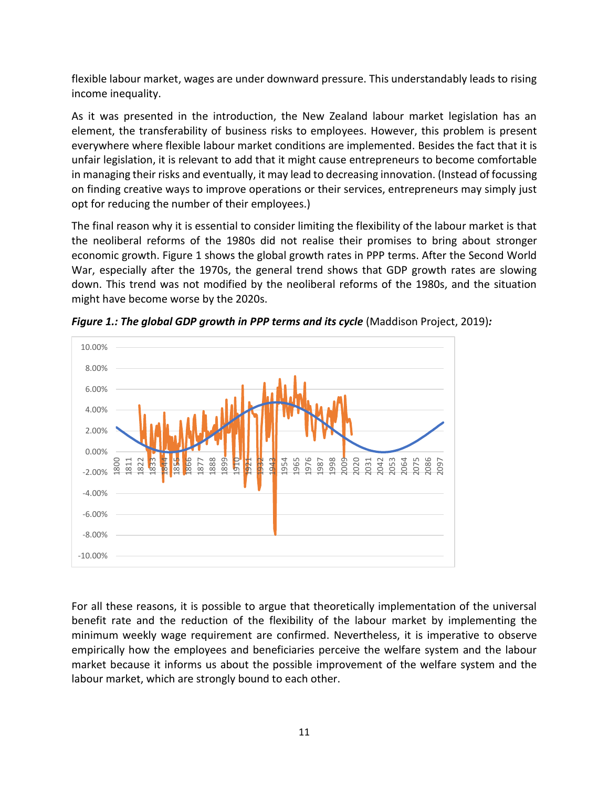flexible labour market, wages are under downward pressure. This understandably leads to rising income inequality.

As it was presented in the introduction, the New Zealand labour market legislation has an element, the transferability of business risks to employees. However, this problem is present everywhere where flexible labour market conditions are implemented. Besides the fact that it is unfair legislation, it is relevant to add that it might cause entrepreneurs to become comfortable in managing their risks and eventually, it may lead to decreasing innovation. (Instead of focussing on finding creative ways to improve operations or their services, entrepreneurs may simply just opt for reducing the number of their employees.)

The final reason why it is essential to consider limiting the flexibility of the labour market is that the neoliberal reforms of the 1980s did not realise their promises to bring about stronger economic growth. Figure 1 shows the global growth rates in PPP terms. After the Second World War, especially after the 1970s, the general trend shows that GDP growth rates are slowing down. This trend was not modified by the neoliberal reforms of the 1980s, and the situation might have become worse by the 2020s.



*Figure 1.: The global GDP growth in PPP terms and its cycle* (Maddison Project, 2019)*:* 

For all these reasons, it is possible to argue that theoretically implementation of the universal benefit rate and the reduction of the flexibility of the labour market by implementing the minimum weekly wage requirement are confirmed. Nevertheless, it is imperative to observe empirically how the employees and beneficiaries perceive the welfare system and the labour market because it informs us about the possible improvement of the welfare system and the labour market, which are strongly bound to each other.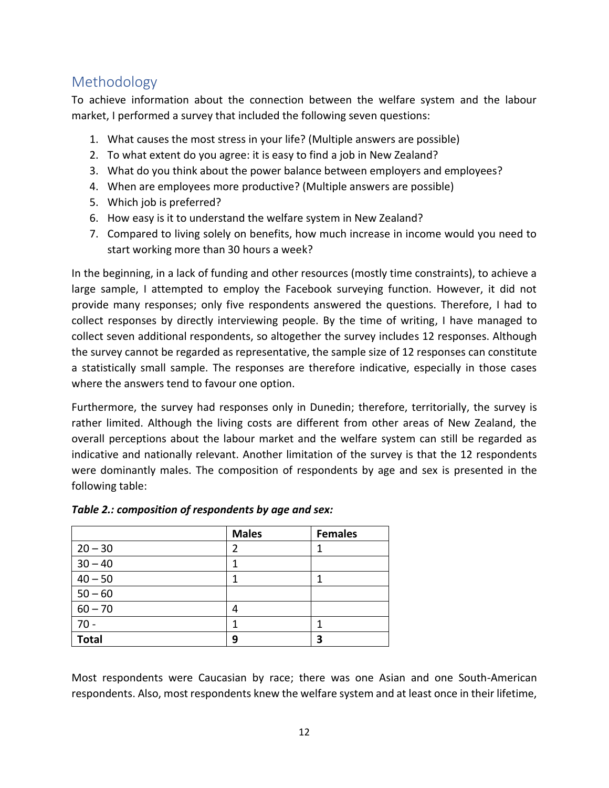## Methodology

To achieve information about the connection between the welfare system and the labour market, I performed a survey that included the following seven questions:

- 1. What causes the most stress in your life? (Multiple answers are possible)
- 2. To what extent do you agree: it is easy to find a job in New Zealand?
- 3. What do you think about the power balance between employers and employees?
- 4. When are employees more productive? (Multiple answers are possible)
- 5. Which job is preferred?
- 6. How easy is it to understand the welfare system in New Zealand?
- 7. Compared to living solely on benefits, how much increase in income would you need to start working more than 30 hours a week?

In the beginning, in a lack of funding and other resources (mostly time constraints), to achieve a large sample, I attempted to employ the Facebook surveying function. However, it did not provide many responses; only five respondents answered the questions. Therefore, I had to collect responses by directly interviewing people. By the time of writing, I have managed to collect seven additional respondents, so altogether the survey includes 12 responses. Although the survey cannot be regarded as representative, the sample size of 12 responses can constitute a statistically small sample. The responses are therefore indicative, especially in those cases where the answers tend to favour one option.

Furthermore, the survey had responses only in Dunedin; therefore, territorially, the survey is rather limited. Although the living costs are different from other areas of New Zealand, the overall perceptions about the labour market and the welfare system can still be regarded as indicative and nationally relevant. Another limitation of the survey is that the 12 respondents were dominantly males. The composition of respondents by age and sex is presented in the following table:

|              | <b>Males</b> | <b>Females</b> |
|--------------|--------------|----------------|
| $20 - 30$    | 2            |                |
| $30 - 40$    |              |                |
| $40 - 50$    | 1            | 1              |
| $50 - 60$    |              |                |
| $60 - 70$    | 4            |                |
| $70 -$       | 1            | 1              |
| <b>Total</b> | 9            | 3              |

#### *Table 2.: composition of respondents by age and sex:*

Most respondents were Caucasian by race; there was one Asian and one South-American respondents. Also, most respondents knew the welfare system and at least once in their lifetime,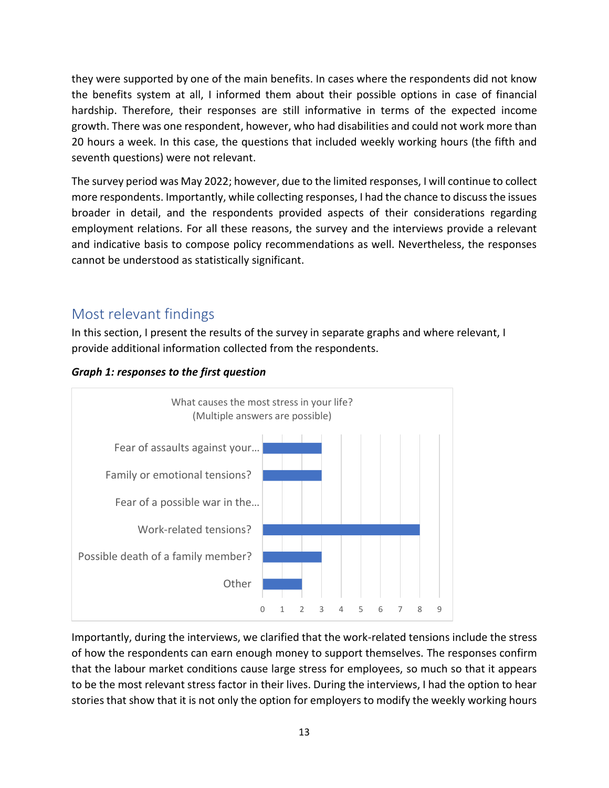they were supported by one of the main benefits. In cases where the respondents did not know the benefits system at all, I informed them about their possible options in case of financial hardship. Therefore, their responses are still informative in terms of the expected income growth. There was one respondent, however, who had disabilities and could not work more than 20 hours a week. In this case, the questions that included weekly working hours (the fifth and seventh questions) were not relevant.

The survey period was May 2022; however, due to the limited responses, I will continue to collect more respondents. Importantly, while collecting responses, I had the chance to discuss the issues broader in detail, and the respondents provided aspects of their considerations regarding employment relations. For all these reasons, the survey and the interviews provide a relevant and indicative basis to compose policy recommendations as well. Nevertheless, the responses cannot be understood as statistically significant.

## Most relevant findings

In this section, I present the results of the survey in separate graphs and where relevant, I provide additional information collected from the respondents.



#### *Graph 1: responses to the first question*

Importantly, during the interviews, we clarified that the work-related tensions include the stress of how the respondents can earn enough money to support themselves. The responses confirm that the labour market conditions cause large stress for employees, so much so that it appears to be the most relevant stress factor in their lives. During the interviews, I had the option to hear stories that show that it is not only the option for employers to modify the weekly working hours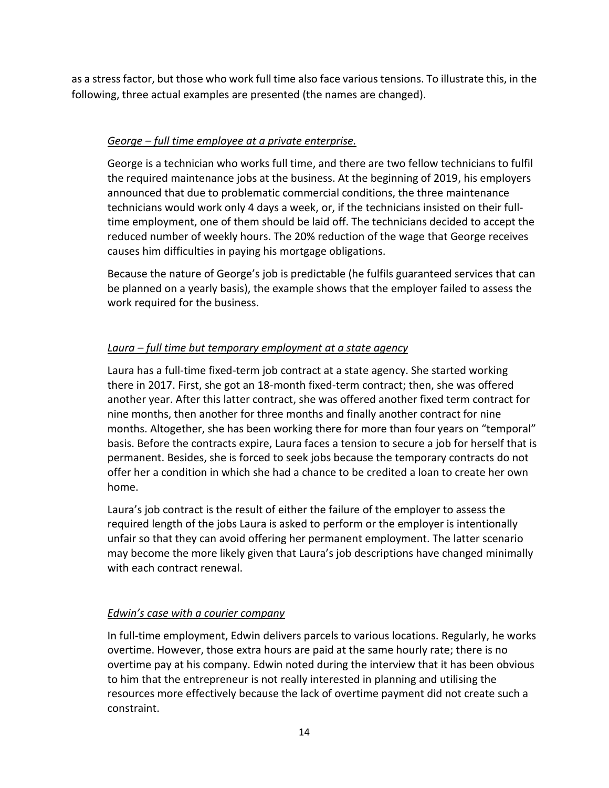as a stress factor, but those who work full time also face various tensions. To illustrate this, in the following, three actual examples are presented (the names are changed).

#### *George – full time employee at a private enterprise.*

George is a technician who works full time, and there are two fellow technicians to fulfil the required maintenance jobs at the business. At the beginning of 2019, his employers announced that due to problematic commercial conditions, the three maintenance technicians would work only 4 days a week, or, if the technicians insisted on their fulltime employment, one of them should be laid off. The technicians decided to accept the reduced number of weekly hours. The 20% reduction of the wage that George receives causes him difficulties in paying his mortgage obligations.

Because the nature of George's job is predictable (he fulfils guaranteed services that can be planned on a yearly basis), the example shows that the employer failed to assess the work required for the business.

### *Laura – full time but temporary employment at a state agency*

Laura has a full-time fixed-term job contract at a state agency. She started working there in 2017. First, she got an 18-month fixed-term contract; then, she was offered another year. After this latter contract, she was offered another fixed term contract for nine months, then another for three months and finally another contract for nine months. Altogether, she has been working there for more than four years on "temporal" basis. Before the contracts expire, Laura faces a tension to secure a job for herself that is permanent. Besides, she is forced to seek jobs because the temporary contracts do not offer her a condition in which she had a chance to be credited a loan to create her own home.

Laura's job contract is the result of either the failure of the employer to assess the required length of the jobs Laura is asked to perform or the employer is intentionally unfair so that they can avoid offering her permanent employment. The latter scenario may become the more likely given that Laura's job descriptions have changed minimally with each contract renewal.

#### *Edwin's case with a courier company*

In full-time employment, Edwin delivers parcels to various locations. Regularly, he works overtime. However, those extra hours are paid at the same hourly rate; there is no overtime pay at his company. Edwin noted during the interview that it has been obvious to him that the entrepreneur is not really interested in planning and utilising the resources more effectively because the lack of overtime payment did not create such a constraint.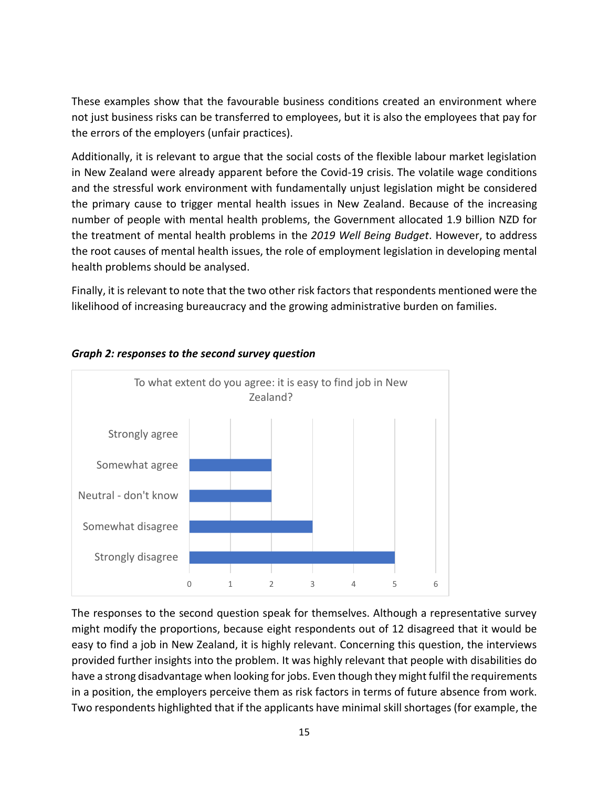These examples show that the favourable business conditions created an environment where not just business risks can be transferred to employees, but it is also the employees that pay for the errors of the employers (unfair practices).

Additionally, it is relevant to argue that the social costs of the flexible labour market legislation in New Zealand were already apparent before the Covid-19 crisis. The volatile wage conditions and the stressful work environment with fundamentally unjust legislation might be considered the primary cause to trigger mental health issues in New Zealand. Because of the increasing number of people with mental health problems, the Government allocated 1.9 billion NZD for the treatment of mental health problems in the *2019 Well Being Budget*. However, to address the root causes of mental health issues, the role of employment legislation in developing mental health problems should be analysed.

Finally, it is relevant to note that the two other risk factors that respondents mentioned were the likelihood of increasing bureaucracy and the growing administrative burden on families.



#### *Graph 2: responses to the second survey question*

The responses to the second question speak for themselves. Although a representative survey might modify the proportions, because eight respondents out of 12 disagreed that it would be easy to find a job in New Zealand, it is highly relevant. Concerning this question, the interviews provided further insights into the problem. It was highly relevant that people with disabilities do have a strong disadvantage when looking for jobs. Even though they might fulfil the requirements in a position, the employers perceive them as risk factors in terms of future absence from work. Two respondents highlighted that if the applicants have minimal skill shortages (for example, the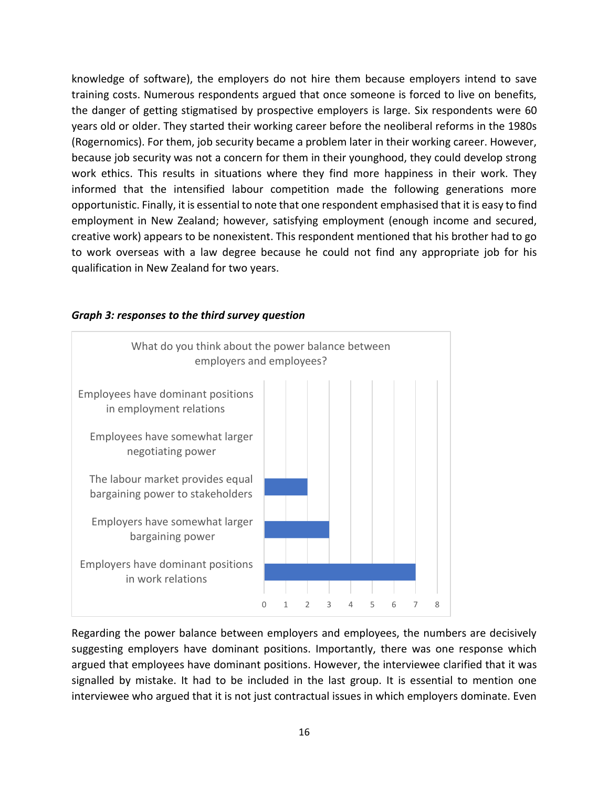knowledge of software), the employers do not hire them because employers intend to save training costs. Numerous respondents argued that once someone is forced to live on benefits, the danger of getting stigmatised by prospective employers is large. Six respondents were 60 years old or older. They started their working career before the neoliberal reforms in the 1980s (Rogernomics). For them, job security became a problem later in their working career. However, because job security was not a concern for them in their younghood, they could develop strong work ethics. This results in situations where they find more happiness in their work. They informed that the intensified labour competition made the following generations more opportunistic. Finally, it is essential to note that one respondent emphasised that it is easy to find employment in New Zealand; however, satisfying employment (enough income and secured, creative work) appears to be nonexistent. This respondent mentioned that his brother had to go to work overseas with a law degree because he could not find any appropriate job for his qualification in New Zealand for two years.



#### *Graph 3: responses to the third survey question*

Regarding the power balance between employers and employees, the numbers are decisively suggesting employers have dominant positions. Importantly, there was one response which argued that employees have dominant positions. However, the interviewee clarified that it was signalled by mistake. It had to be included in the last group. It is essential to mention one interviewee who argued that it is not just contractual issues in which employers dominate. Even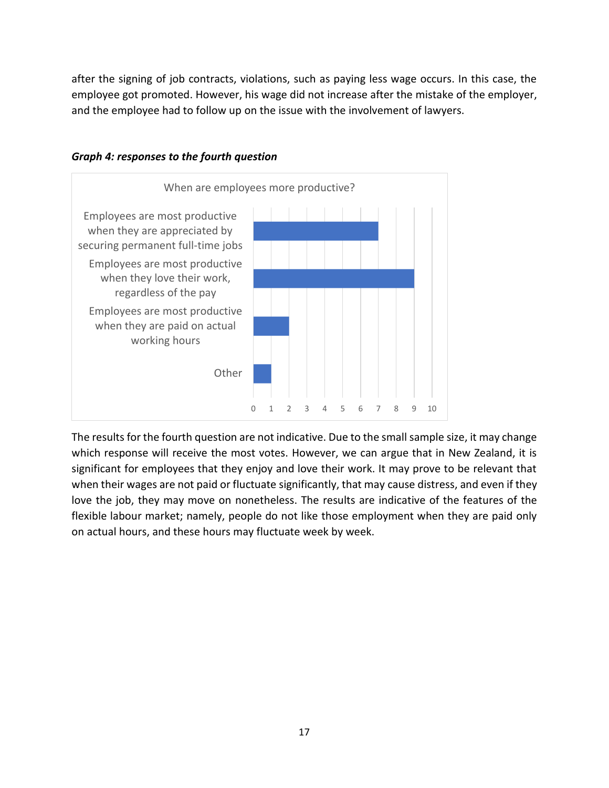after the signing of job contracts, violations, such as paying less wage occurs. In this case, the employee got promoted. However, his wage did not increase after the mistake of the employer, and the employee had to follow up on the issue with the involvement of lawyers.



#### *Graph 4: responses to the fourth question*

The results for the fourth question are not indicative. Due to the small sample size, it may change which response will receive the most votes. However, we can argue that in New Zealand, it is significant for employees that they enjoy and love their work. It may prove to be relevant that when their wages are not paid or fluctuate significantly, that may cause distress, and even if they love the job, they may move on nonetheless. The results are indicative of the features of the flexible labour market; namely, people do not like those employment when they are paid only on actual hours, and these hours may fluctuate week by week.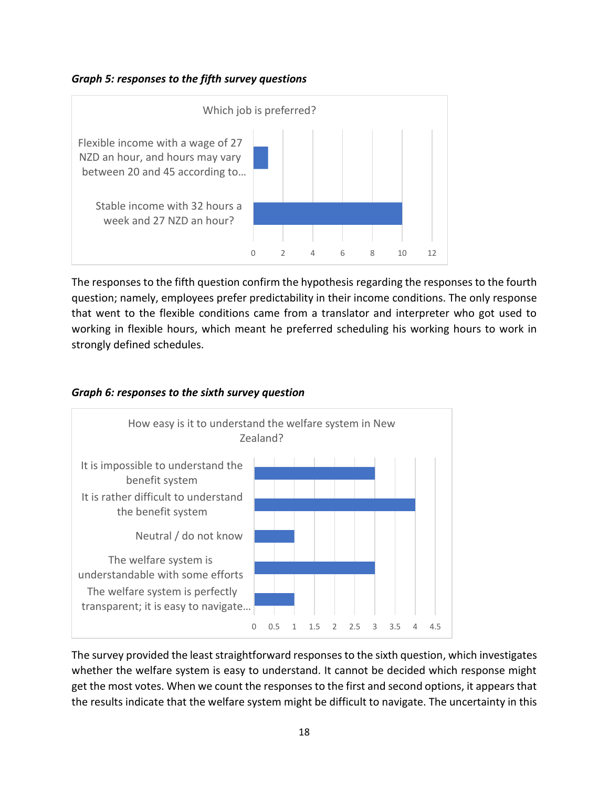*Graph 5: responses to the fifth survey questions*



The responses to the fifth question confirm the hypothesis regarding the responses to the fourth question; namely, employees prefer predictability in their income conditions. The only response that went to the flexible conditions came from a translator and interpreter who got used to working in flexible hours, which meant he preferred scheduling his working hours to work in strongly defined schedules.

#### *Graph 6: responses to the sixth survey question*



The survey provided the least straightforward responses to the sixth question, which investigates whether the welfare system is easy to understand. It cannot be decided which response might get the most votes. When we count the responses to the first and second options, it appears that the results indicate that the welfare system might be difficult to navigate. The uncertainty in this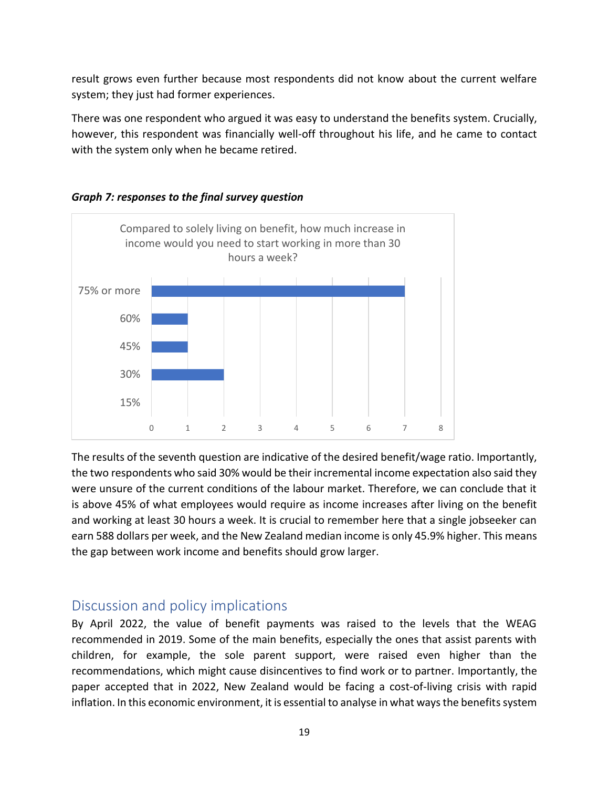result grows even further because most respondents did not know about the current welfare system; they just had former experiences.

There was one respondent who argued it was easy to understand the benefits system. Crucially, however, this respondent was financially well-off throughout his life, and he came to contact with the system only when he became retired.



#### *Graph 7: responses to the final survey question*

The results of the seventh question are indicative of the desired benefit/wage ratio. Importantly, the two respondents who said 30% would be their incremental income expectation also said they were unsure of the current conditions of the labour market. Therefore, we can conclude that it is above 45% of what employees would require as income increases after living on the benefit and working at least 30 hours a week. It is crucial to remember here that a single jobseeker can earn 588 dollars per week, and the New Zealand median income is only 45.9% higher. This means the gap between work income and benefits should grow larger.

## Discussion and policy implications

By April 2022, the value of benefit payments was raised to the levels that the WEAG recommended in 2019. Some of the main benefits, especially the ones that assist parents with children, for example, the sole parent support, were raised even higher than the recommendations, which might cause disincentives to find work or to partner. Importantly, the paper accepted that in 2022, New Zealand would be facing a cost-of-living crisis with rapid inflation. In this economic environment, it is essential to analyse in what ways the benefits system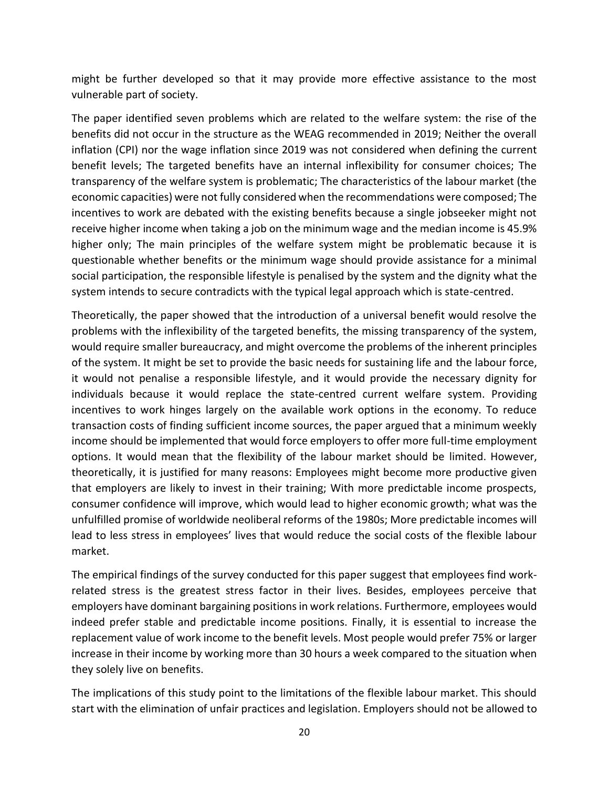might be further developed so that it may provide more effective assistance to the most vulnerable part of society.

The paper identified seven problems which are related to the welfare system: the rise of the benefits did not occur in the structure as the WEAG recommended in 2019; Neither the overall inflation (CPI) nor the wage inflation since 2019 was not considered when defining the current benefit levels; The targeted benefits have an internal inflexibility for consumer choices; The transparency of the welfare system is problematic; The characteristics of the labour market (the economic capacities) were not fully considered when the recommendations were composed; The incentives to work are debated with the existing benefits because a single jobseeker might not receive higher income when taking a job on the minimum wage and the median income is 45.9% higher only; The main principles of the welfare system might be problematic because it is questionable whether benefits or the minimum wage should provide assistance for a minimal social participation, the responsible lifestyle is penalised by the system and the dignity what the system intends to secure contradicts with the typical legal approach which is state-centred.

Theoretically, the paper showed that the introduction of a universal benefit would resolve the problems with the inflexibility of the targeted benefits, the missing transparency of the system, would require smaller bureaucracy, and might overcome the problems of the inherent principles of the system. It might be set to provide the basic needs for sustaining life and the labour force, it would not penalise a responsible lifestyle, and it would provide the necessary dignity for individuals because it would replace the state-centred current welfare system. Providing incentives to work hinges largely on the available work options in the economy. To reduce transaction costs of finding sufficient income sources, the paper argued that a minimum weekly income should be implemented that would force employers to offer more full-time employment options. It would mean that the flexibility of the labour market should be limited. However, theoretically, it is justified for many reasons: Employees might become more productive given that employers are likely to invest in their training; With more predictable income prospects, consumer confidence will improve, which would lead to higher economic growth; what was the unfulfilled promise of worldwide neoliberal reforms of the 1980s; More predictable incomes will lead to less stress in employees' lives that would reduce the social costs of the flexible labour market.

The empirical findings of the survey conducted for this paper suggest that employees find workrelated stress is the greatest stress factor in their lives. Besides, employees perceive that employers have dominant bargaining positions in work relations. Furthermore, employees would indeed prefer stable and predictable income positions. Finally, it is essential to increase the replacement value of work income to the benefit levels. Most people would prefer 75% or larger increase in their income by working more than 30 hours a week compared to the situation when they solely live on benefits.

The implications of this study point to the limitations of the flexible labour market. This should start with the elimination of unfair practices and legislation. Employers should not be allowed to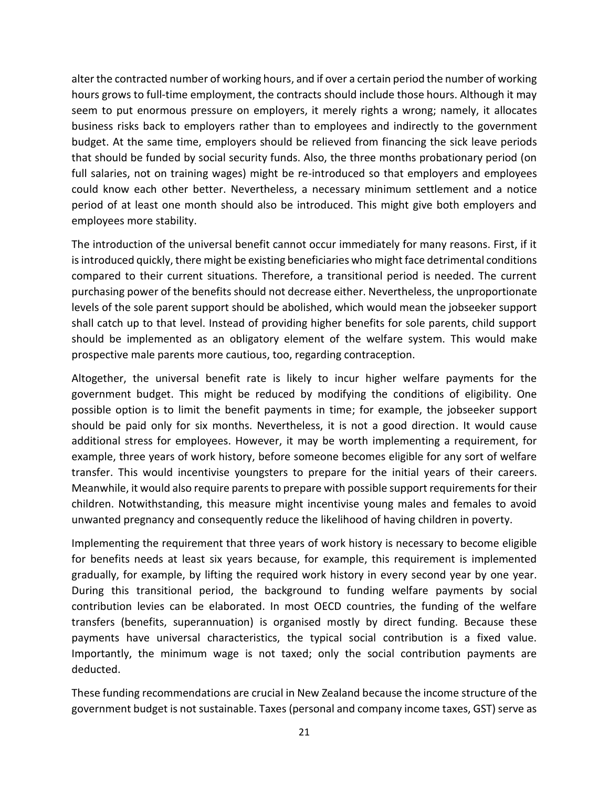alter the contracted number of working hours, and if over a certain period the number of working hours grows to full-time employment, the contracts should include those hours. Although it may seem to put enormous pressure on employers, it merely rights a wrong; namely, it allocates business risks back to employers rather than to employees and indirectly to the government budget. At the same time, employers should be relieved from financing the sick leave periods that should be funded by social security funds. Also, the three months probationary period (on full salaries, not on training wages) might be re-introduced so that employers and employees could know each other better. Nevertheless, a necessary minimum settlement and a notice period of at least one month should also be introduced. This might give both employers and employees more stability.

The introduction of the universal benefit cannot occur immediately for many reasons. First, if it is introduced quickly, there might be existing beneficiaries who might face detrimental conditions compared to their current situations. Therefore, a transitional period is needed. The current purchasing power of the benefits should not decrease either. Nevertheless, the unproportionate levels of the sole parent support should be abolished, which would mean the jobseeker support shall catch up to that level. Instead of providing higher benefits for sole parents, child support should be implemented as an obligatory element of the welfare system. This would make prospective male parents more cautious, too, regarding contraception.

Altogether, the universal benefit rate is likely to incur higher welfare payments for the government budget. This might be reduced by modifying the conditions of eligibility. One possible option is to limit the benefit payments in time; for example, the jobseeker support should be paid only for six months. Nevertheless, it is not a good direction. It would cause additional stress for employees. However, it may be worth implementing a requirement, for example, three years of work history, before someone becomes eligible for any sort of welfare transfer. This would incentivise youngsters to prepare for the initial years of their careers. Meanwhile, it would also require parents to prepare with possible support requirements for their children. Notwithstanding, this measure might incentivise young males and females to avoid unwanted pregnancy and consequently reduce the likelihood of having children in poverty.

Implementing the requirement that three years of work history is necessary to become eligible for benefits needs at least six years because, for example, this requirement is implemented gradually, for example, by lifting the required work history in every second year by one year. During this transitional period, the background to funding welfare payments by social contribution levies can be elaborated. In most OECD countries, the funding of the welfare transfers (benefits, superannuation) is organised mostly by direct funding. Because these payments have universal characteristics, the typical social contribution is a fixed value. Importantly, the minimum wage is not taxed; only the social contribution payments are deducted.

These funding recommendations are crucial in New Zealand because the income structure of the government budget is not sustainable. Taxes (personal and company income taxes, GST) serve as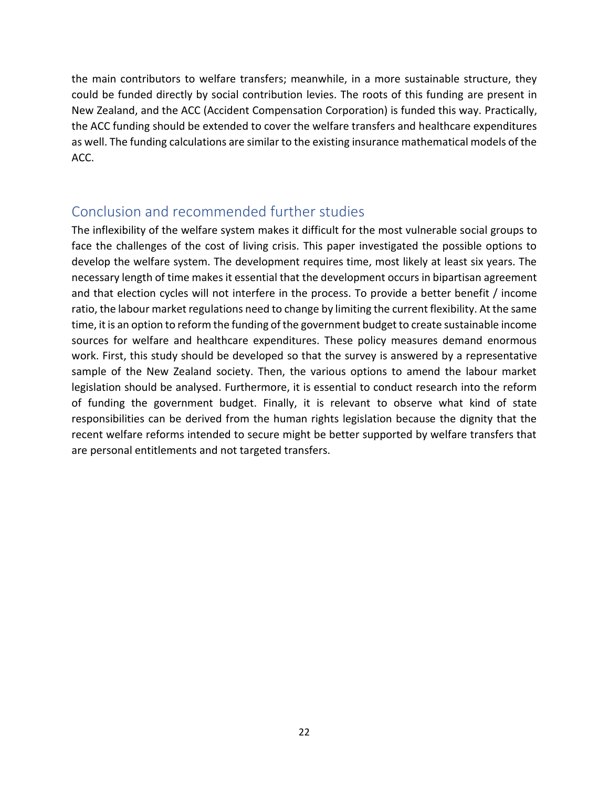the main contributors to welfare transfers; meanwhile, in a more sustainable structure, they could be funded directly by social contribution levies. The roots of this funding are present in New Zealand, and the ACC (Accident Compensation Corporation) is funded this way. Practically, the ACC funding should be extended to cover the welfare transfers and healthcare expenditures as well. The funding calculations are similar to the existing insurance mathematical models of the ACC.

## Conclusion and recommended further studies

The inflexibility of the welfare system makes it difficult for the most vulnerable social groups to face the challenges of the cost of living crisis. This paper investigated the possible options to develop the welfare system. The development requires time, most likely at least six years. The necessary length of time makes it essential that the development occurs in bipartisan agreement and that election cycles will not interfere in the process. To provide a better benefit / income ratio, the labour market regulations need to change by limiting the current flexibility. At the same time, it is an option to reform the funding of the government budget to create sustainable income sources for welfare and healthcare expenditures. These policy measures demand enormous work. First, this study should be developed so that the survey is answered by a representative sample of the New Zealand society. Then, the various options to amend the labour market legislation should be analysed. Furthermore, it is essential to conduct research into the reform of funding the government budget. Finally, it is relevant to observe what kind of state responsibilities can be derived from the human rights legislation because the dignity that the recent welfare reforms intended to secure might be better supported by welfare transfers that are personal entitlements and not targeted transfers.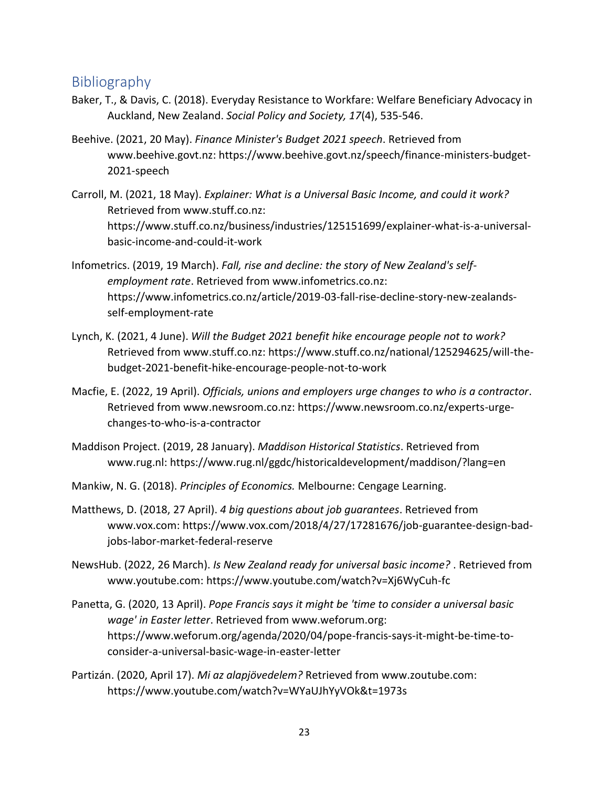## Bibliography

- Baker, T., & Davis, C. (2018). Everyday Resistance to Workfare: Welfare Beneficiary Advocacy in Auckland, New Zealand. *Social Policy and Society, 17*(4), 535-546.
- Beehive. (2021, 20 May). *Finance Minister's Budget 2021 speech*. Retrieved from www.beehive.govt.nz: https://www.beehive.govt.nz/speech/finance-ministers-budget-2021-speech
- Carroll, M. (2021, 18 May). *Explainer: What is a Universal Basic Income, and could it work?* Retrieved from www.stuff.co.nz: https://www.stuff.co.nz/business/industries/125151699/explainer-what-is-a-universalbasic-income-and-could-it-work
- Infometrics. (2019, 19 March). *Fall, rise and decline: the story of New Zealand's selfemployment rate*. Retrieved from www.infometrics.co.nz: https://www.infometrics.co.nz/article/2019-03-fall-rise-decline-story-new-zealandsself-employment-rate
- Lynch, K. (2021, 4 June). *Will the Budget 2021 benefit hike encourage people not to work?* Retrieved from www.stuff.co.nz: https://www.stuff.co.nz/national/125294625/will-thebudget-2021-benefit-hike-encourage-people-not-to-work
- Macfie, E. (2022, 19 April). *Officials, unions and employers urge changes to who is a contractor*. Retrieved from www.newsroom.co.nz: https://www.newsroom.co.nz/experts-urgechanges-to-who-is-a-contractor
- Maddison Project. (2019, 28 January). *Maddison Historical Statistics*. Retrieved from www.rug.nl: https://www.rug.nl/ggdc/historicaldevelopment/maddison/?lang=en
- Mankiw, N. G. (2018). *Principles of Economics.* Melbourne: Cengage Learning.
- Matthews, D. (2018, 27 April). *4 big questions about job guarantees*. Retrieved from www.vox.com: https://www.vox.com/2018/4/27/17281676/job-guarantee-design-badjobs-labor-market-federal-reserve
- NewsHub. (2022, 26 March). *Is New Zealand ready for universal basic income?* . Retrieved from www.youtube.com: https://www.youtube.com/watch?v=Xj6WyCuh-fc
- Panetta, G. (2020, 13 April). *Pope Francis says it might be 'time to consider a universal basic wage' in Easter letter*. Retrieved from www.weforum.org: https://www.weforum.org/agenda/2020/04/pope-francis-says-it-might-be-time-toconsider-a-universal-basic-wage-in-easter-letter
- Partizán. (2020, April 17). *Mi az alapjövedelem?* Retrieved from www.zoutube.com: https://www.youtube.com/watch?v=WYaUJhYyVOk&t=1973s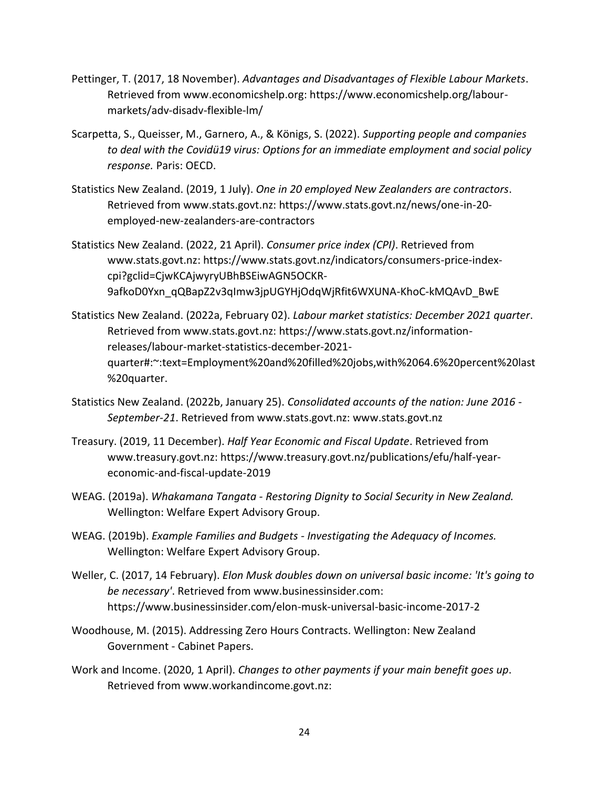- Pettinger, T. (2017, 18 November). *Advantages and Disadvantages of Flexible Labour Markets*. Retrieved from www.economicshelp.org: https://www.economicshelp.org/labourmarkets/adv-disadv-flexible-lm/
- Scarpetta, S., Queisser, M., Garnero, A., & Königs, S. (2022). *Supporting people and companies to deal with the Covidü19 virus: Options for an immediate employment and social policy response.* Paris: OECD.
- Statistics New Zealand. (2019, 1 July). *One in 20 employed New Zealanders are contractors*. Retrieved from www.stats.govt.nz: https://www.stats.govt.nz/news/one-in-20 employed-new-zealanders-are-contractors
- Statistics New Zealand. (2022, 21 April). *Consumer price index (CPI)*. Retrieved from www.stats.govt.nz: https://www.stats.govt.nz/indicators/consumers-price-indexcpi?gclid=CjwKCAjwyryUBhBSEiwAGN5OCKR-9afkoD0Yxn\_qQBapZ2v3qImw3jpUGYHjOdqWjRfit6WXUNA-KhoC-kMQAvD\_BwE
- Statistics New Zealand. (2022a, February 02). *Labour market statistics: December 2021 quarter*. Retrieved from www.stats.govt.nz: https://www.stats.govt.nz/informationreleases/labour-market-statistics-december-2021 quarter#:~:text=Employment%20and%20filled%20jobs,with%2064.6%20percent%20last %20quarter.
- Statistics New Zealand. (2022b, January 25). *Consolidated accounts of the nation: June 2016 - September-21*. Retrieved from www.stats.govt.nz: www.stats.govt.nz
- Treasury. (2019, 11 December). *Half Year Economic and Fiscal Update*. Retrieved from www.treasury.govt.nz: https://www.treasury.govt.nz/publications/efu/half-yeareconomic-and-fiscal-update-2019
- WEAG. (2019a). *Whakamana Tangata - Restoring Dignity to Social Security in New Zealand.* Wellington: Welfare Expert Advisory Group.
- WEAG. (2019b). *Example Families and Budgets - Investigating the Adequacy of Incomes.* Wellington: Welfare Expert Advisory Group.
- Weller, C. (2017, 14 February). *Elon Musk doubles down on universal basic income: 'It's going to be necessary'*. Retrieved from www.businessinsider.com: https://www.businessinsider.com/elon-musk-universal-basic-income-2017-2
- Woodhouse, M. (2015). Addressing Zero Hours Contracts. Wellington: New Zealand Government - Cabinet Papers.
- Work and Income. (2020, 1 April). *Changes to other payments if your main benefit goes up*. Retrieved from www.workandincome.govt.nz: